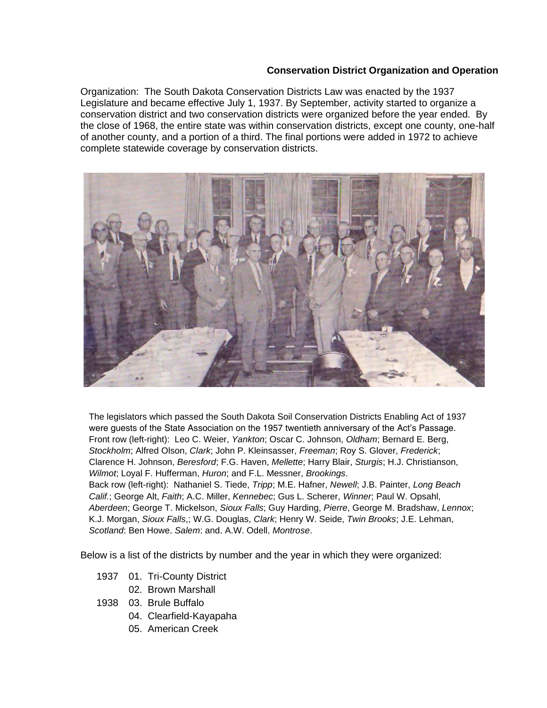## **Conservation District Organization and Operation**

Organization: The South Dakota Conservation Districts Law was enacted by the 1937 Legislature and became effective July 1, 1937. By September, activity started to organize a conservation district and two conservation districts were organized before the year ended. By the close of 1968, the entire state was within conservation districts, except one county, one-half of another county, and a portion of a third. The final portions were added in 1972 to achieve complete statewide coverage by conservation districts.



The legislators which passed the South Dakota Soil Conservation Districts Enabling Act of 1937 were guests of the State Association on the 1957 twentieth anniversary of the Act's Passage. Front row (left-right): Leo C. Weier, *Yankton*; Oscar C. Johnson, *Oldham*; Bernard E. Berg, *Stockholm*; Alfred Olson, *Clark*; John P. Kleinsasser, *Freeman*; Roy S. Glover, *Frederick*; Clarence H. Johnson, *Beresford*; F.G. Haven, *Mellette*; Harry Blair, *Sturgis*; H.J. Christianson, *Wilmot*; Loyal F. Hufferman, *Huron*; and F.L. Messner, *Brookings*. Back row (left-right): Nathaniel S. Tiede, *Tripp*; M.E. Hafner, *Newell*; J.B. Painter, *Long Beach Calif.*; George Alt, *Faith*; A.C. Miller, *Kennebec*; Gus L. Scherer, *Winner*; Paul W. Opsahl, *Aberdeen*; George T. Mickelson, *Sioux Falls*; Guy Harding, *Pierre*, George M. Bradshaw, *Lennox*; K.J. Morgan, *Sioux Falls*,; W.G. Douglas, *Clark*; Henry W. Seide, *Twin Brooks*; J.E. Lehman, *Scotland*; Ben Howe, *Salem*; and, A.W. Odell, *Montrose*.

Below is a list of the districts by number and the year in which they were organized:

- 1937 01. Tri-County District
	- 02. Brown Marshall
- 1938 03. Brule Buffalo
	- 04. Clearfield-Kayapaha
	- 05. American Creek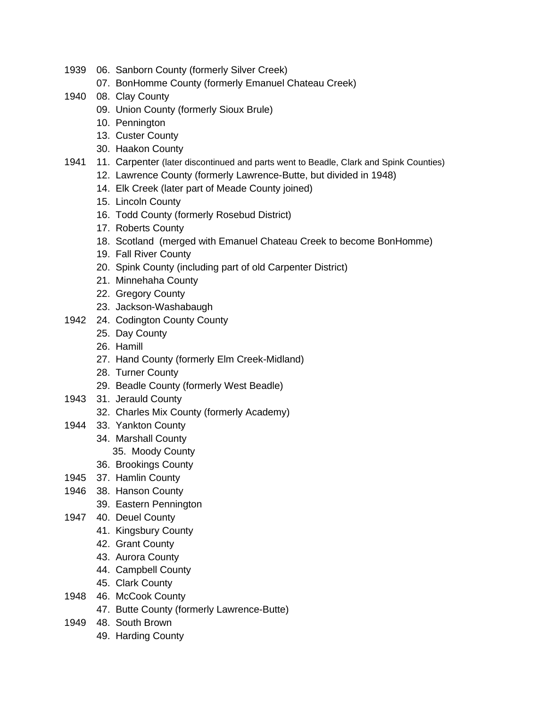- 1939 06. Sanborn County (formerly Silver Creek)
	- 07. BonHomme County (formerly Emanuel Chateau Creek)
- 1940 08. Clay County
	- 09. Union County (formerly Sioux Brule)
	- 10. Pennington
	- 13. Custer County
	- 30. Haakon County
- 1941 11. Carpenter (later discontinued and parts went to Beadle, Clark and Spink Counties)
	- 12. Lawrence County (formerly Lawrence-Butte, but divided in 1948)
	- 14. Elk Creek (later part of Meade County joined)
	- 15. Lincoln County
	- 16. Todd County (formerly Rosebud District)
	- 17. Roberts County
	- 18. Scotland (merged with Emanuel Chateau Creek to become BonHomme)
	- 19. Fall River County
	- 20. Spink County (including part of old Carpenter District)
	- 21. Minnehaha County
	- 22. Gregory County
	- 23. Jackson-Washabaugh
- 1942 24. Codington County County
	- 25. Day County
	- 26. Hamill
	- 27. Hand County (formerly Elm Creek-Midland)
	- 28. Turner County
	- 29. Beadle County (formerly West Beadle)
- 1943 31. Jerauld County
	- 32. Charles Mix County (formerly Academy)
- 1944 33. Yankton County
	- 34. Marshall County
		- 35. Moody County
	- 36. Brookings County
- 1945 37. Hamlin County
- 1946 38. Hanson County
	- 39. Eastern Pennington
- 1947 40. Deuel County
	- 41. Kingsbury County
	- 42. Grant County
	- 43. Aurora County
	- 44. Campbell County
	- 45. Clark County
- 1948 46. McCook County
	- 47. Butte County (formerly Lawrence-Butte)
- 1949 48. South Brown
	- 49. Harding County